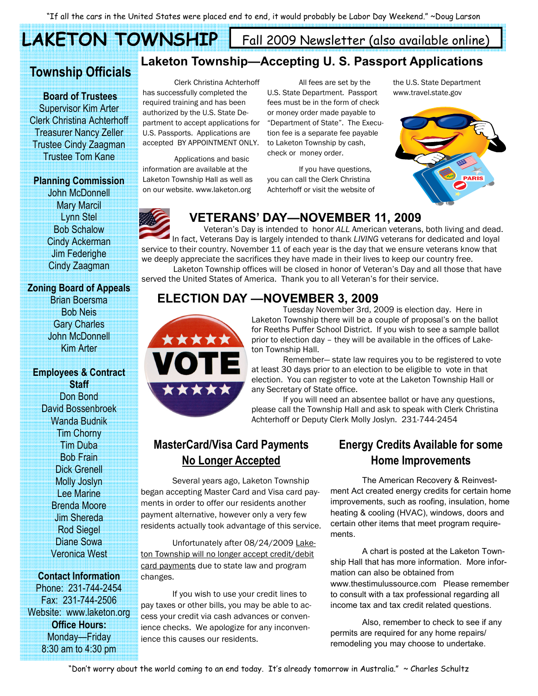LAKETON TOWNSHIP

Fall 2009 Newsletter (also available online)

# Township Officials

 Board of Trustees Supervisor Kim Arter Clerk Christina Achterhoff Treasurer Nancy Zeller Trustee Cindy Zaagman Trustee Tom Kane

#### Planning Commission

John McDonnell Mary Marcil Lynn Stel Bob Schalow Cindy Ackerman Jim Federighe Cindy Zaagman

#### Zoning Board of Appeals

Brian Boersma Bob Neis Gary Charles John McDonnell Kim Arter

#### Employees & Contract **Staff**

Don Bond David Bossenbroek Wanda Budnik Tim Chorny Tim Duba Bob Frain Dick Grenell Molly Joslyn Lee Marine Brenda Moore Jim Shereda Rod Siegel Diane Sowa Veronica West

### Contact Information

Phone: 231-744-2454 Fax: 231-744-2506 Website: www.laketon.org Office Hours: Monday—Friday 8:30 am to 4:30 pm

# Laketon Township—Accepting U. S. Passport Applications

 Clerk Christina Achterhoff has successfully completed the required training and has been authorized by the U.S. State Department to accept applications for U.S. Passports. Applications are accepted BY APPOINTMENT ONLY.

 Applications and basic information are available at the Laketon Township Hall as well as on our website. www.laketon.org

 All fees are set by the U.S. State Department. Passport fees must be in the form of check or money order made payable to "Department of State". The Execution fee is a separate fee payable to Laketon Township by cash, check or money order.

 If you have questions, you can call the Clerk Christina Achterhoff or visit the website of the U.S. State Department www.travel.state.gov



# VETERANS' DAY—NOVEMBER 11, 2009

 Veteran's Day is intended to honor ALL American veterans, both living and dead. In fact, Veterans Day is largely intended to thank LIVING veterans for dedicated and loyal service to their country. November 11 of each year is the day that we ensure veterans know that we deeply appreciate the sacrifices they have made in their lives to keep our country free.

 Laketon Township offices will be closed in honor of Veteran's Day and all those that have served the United States of America. Thank you to all Veteran's for their service.

## ELECTION DAY —NOVEMBER 3, 2009



 Tuesday November 3rd, 2009 is election day. Here in Laketon Township there will be a couple of proposal's on the ballot for Reeths Puffer School District. If you wish to see a sample ballot prior to election day – they will be available in the offices of Laketon Township Hall.

 Remember— state law requires you to be registered to vote at least 30 days prior to an election to be eligible to vote in that election. You can register to vote at the Laketon Township Hall or any Secretary of State office.

 If you will need an absentee ballot or have any questions, please call the Township Hall and ask to speak with Clerk Christina Achterhoff or Deputy Clerk Molly Joslyn. 231-744-2454

## MasterCard/Visa Card Payments No Longer Accepted

 Several years ago, Laketon Township began accepting Master Card and Visa card payments in order to offer our residents another payment alternative, however only a very few residents actually took advantage of this service.

 Unfortunately after 08/24/2009 Laketon Township will no longer accept credit/debit card payments due to state law and program changes.

 If you wish to use your credit lines to pay taxes or other bills, you may be able to access your credit via cash advances or convenience checks. We apologize for any inconvenience this causes our residents.

## Energy Credits Available for some Home Improvements

The American Recovery & Reinvestment Act created energy credits for certain home improvements, such as roofing, insulation, home heating & cooling (HVAC), windows, doors and certain other items that meet program requirements.

 A chart is posted at the Laketon Township Hall that has more information. More information can also be obtained from www.thestimulussource.com Please remember to consult with a tax professional regarding all income tax and tax credit related questions.

 Also, remember to check to see if any permits are required for any home repairs/ remodeling you may choose to undertake.